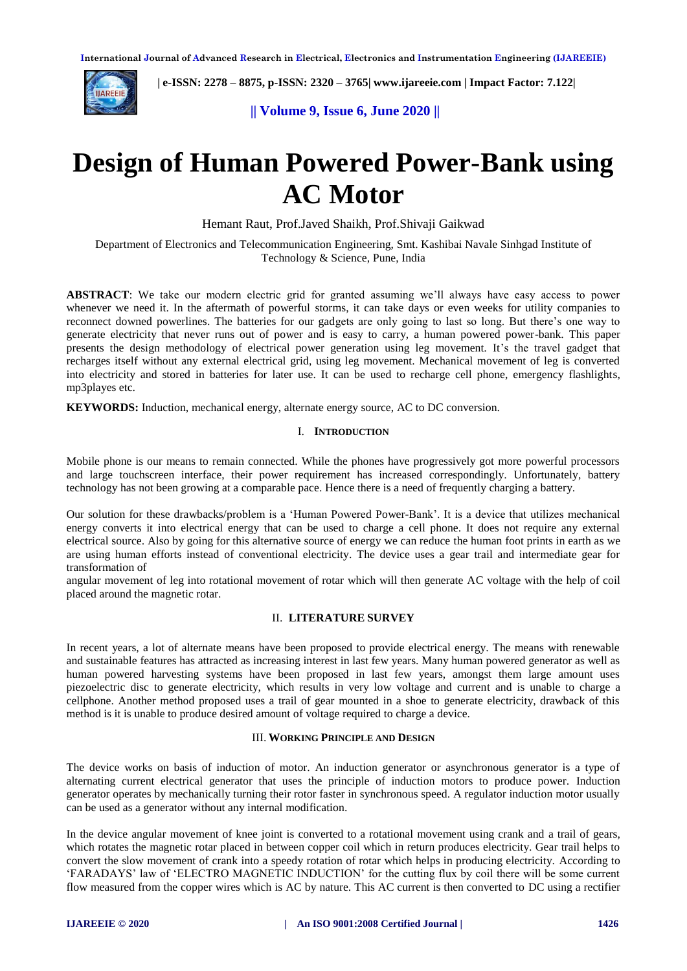

 **| e-ISSN: 2278 – 8875, p-ISSN: 2320 – 3765[| www.ijareeie.com](http://www.ijareeie.com/) | Impact Factor: 7.122|** 

**|| Volume 9, Issue 6, June 2020 ||** 

# **Design of Human Powered Power-Bank using AC Motor**

Hemant Raut, Prof.Javed Shaikh, Prof.Shivaji Gaikwad

Department of Electronics and Telecommunication Engineering, Smt. Kashibai Navale Sinhgad Institute of Technology & Science, Pune, India

**ABSTRACT**: We take our modern electric grid for granted assuming we'll always have easy access to power whenever we need it. In the aftermath of powerful storms, it can take days or even weeks for utility companies to reconnect downed powerlines. The batteries for our gadgets are only going to last so long. But there's one way to generate electricity that never runs out of power and is easy to carry, a human powered power-bank. This paper presents the design methodology of electrical power generation using leg movement. It's the travel gadget that recharges itself without any external electrical grid, using leg movement. Mechanical movement of leg is converted into electricity and stored in batteries for later use. It can be used to recharge cell phone, emergency flashlights, mp3playes etc.

**KEYWORDS:** Induction, mechanical energy, alternate energy source, AC to DC conversion.

#### I. **INTRODUCTION**

Mobile phone is our means to remain connected. While the phones have progressively got more powerful processors and large touchscreen interface, their power requirement has increased correspondingly. Unfortunately, battery technology has not been growing at a comparable pace. Hence there is a need of frequently charging a battery.

Our solution for these drawbacks/problem is a 'Human Powered Power-Bank'. It is a device that utilizes mechanical energy converts it into electrical energy that can be used to charge a cell phone. It does not require any external electrical source. Also by going for this alternative source of energy we can reduce the human foot prints in earth as we are using human efforts instead of conventional electricity. The device uses a gear trail and intermediate gear for transformation of

angular movement of leg into rotational movement of rotar which will then generate AC voltage with the help of coil placed around the magnetic rotar.

#### II. **LITERATURE SURVEY**

In recent years, a lot of alternate means have been proposed to provide electrical energy. The means with renewable and sustainable features has attracted as increasing interest in last few years. Many human powered generator as well as human powered harvesting systems have been proposed in last few years, amongst them large amount uses piezoelectric disc to generate electricity, which results in very low voltage and current and is unable to charge a cellphone. Another method proposed uses a trail of gear mounted in a shoe to generate electricity, drawback of this method is it is unable to produce desired amount of voltage required to charge a device.

#### III. **WORKING PRINCIPLE AND DESIGN**

The device works on basis of induction of motor. An induction generator or asynchronous generator is a type of alternating current electrical generator that uses the principle of induction motors to produce power. Induction generator operates by mechanically turning their rotor faster in synchronous speed. A regulator induction motor usually can be used as a generator without any internal modification.

In the device angular movement of knee joint is converted to a rotational movement using crank and a trail of gears, which rotates the magnetic rotar placed in between copper coil which in return produces electricity. Gear trail helps to convert the slow movement of crank into a speedy rotation of rotar which helps in producing electricity. According to 'FARADAYS' law of 'ELECTRO MAGNETIC INDUCTION' for the cutting flux by coil there will be some current flow measured from the copper wires which is AC by nature. This AC current is then converted to DC using a rectifier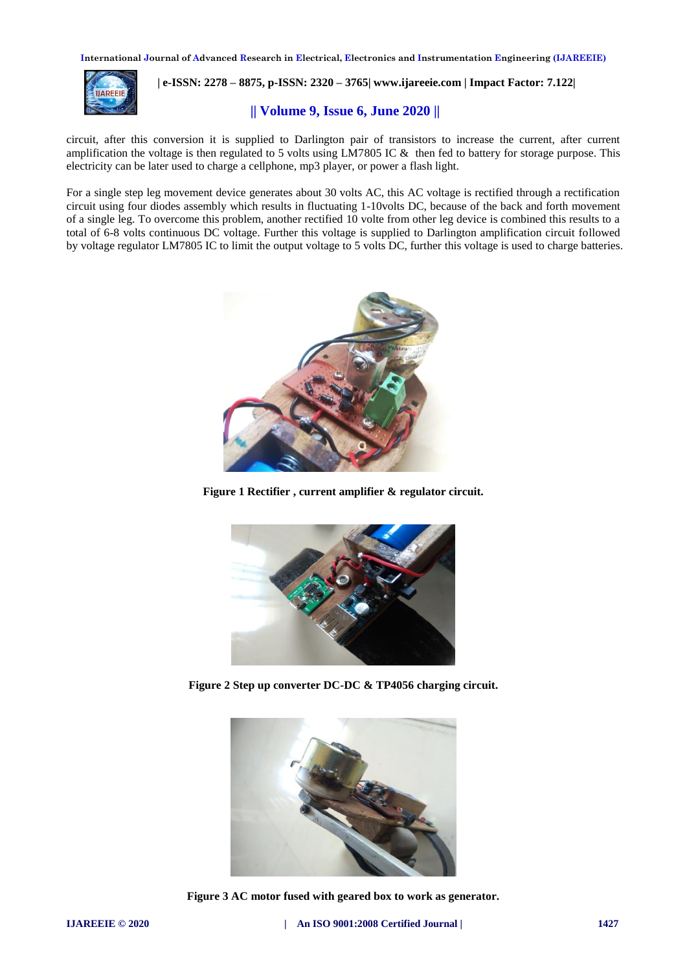**International Journal of Advanced Research in Electrical, Electronics and Instrumentation Engineering (IJAREEIE)** 



## **| e-ISSN: 2278 – 8875, p-ISSN: 2320 – 3765[| www.ijareeie.com](http://www.ijareeie.com/) | Impact Factor: 7.122|**

#### **|| Volume 9, Issue 6, June 2020 ||**

circuit, after this conversion it is supplied to Darlington pair of transistors to increase the current, after current amplification the voltage is then regulated to 5 volts using LM7805 IC & then fed to battery for storage purpose. This electricity can be later used to charge a cellphone, mp3 player, or power a flash light.

For a single step leg movement device generates about 30 volts AC, this AC voltage is rectified through a rectification circuit using four diodes assembly which results in fluctuating 1-10volts DC, because of the back and forth movement of a single leg. To overcome this problem, another rectified 10 volte from other leg device is combined this results to a total of 6-8 volts continuous DC voltage. Further this voltage is supplied to Darlington amplification circuit followed by voltage regulator LM7805 IC to limit the output voltage to 5 volts DC, further this voltage is used to charge batteries.



**Figure 1 Rectifier , current amplifier & regulator circuit.**



**Figure 2 Step up converter DC-DC & TP4056 charging circuit.**



**Figure 3 AC motor fused with geared box to work as generator.**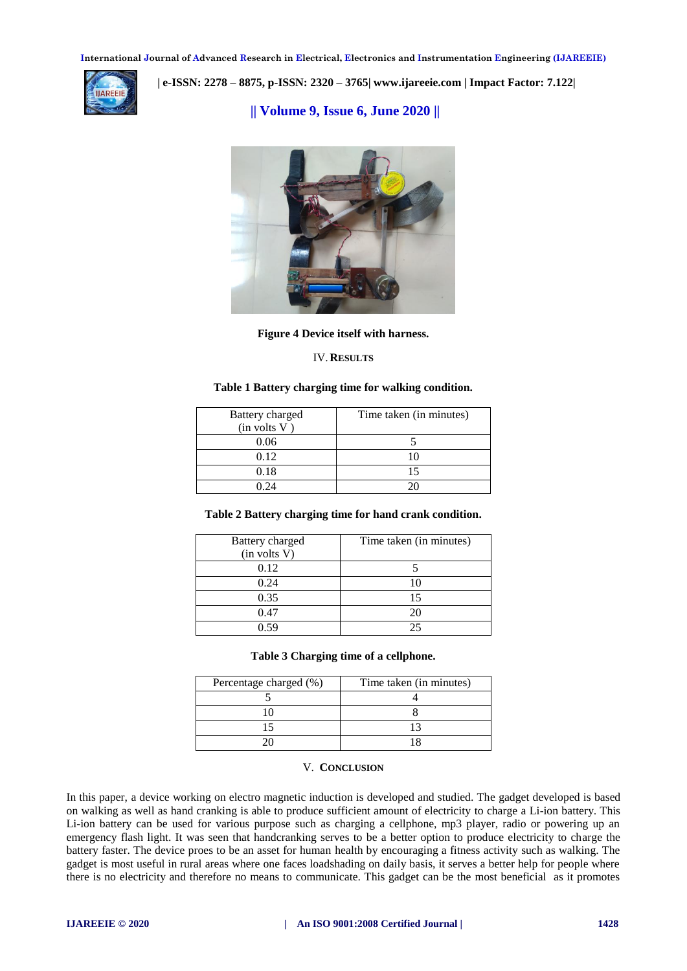**International Journal of Advanced Research in Electrical, Electronics and Instrumentation Engineering (IJAREEIE)** 



 **| e-ISSN: 2278 – 8875, p-ISSN: 2320 – 3765[| www.ijareeie.com](http://www.ijareeie.com/) | Impact Factor: 7.122|** 

**|| Volume 9, Issue 6, June 2020 ||** 



**Figure 4 Device itself with harness.**

#### IV.**RESULTS**

#### **Table 1 Battery charging time for walking condition.**

| Battery charged | Time taken (in minutes) |
|-----------------|-------------------------|
| (in volts V)    |                         |
| 0.06            |                         |
| 0.12            |                         |
| 0.18            |                         |
| ገ 24            |                         |

#### **Table 2 Battery charging time for hand crank condition.**

| Battery charged<br>(in volts V) | Time taken (in minutes) |
|---------------------------------|-------------------------|
| 0.12                            |                         |
| 0.24                            |                         |
| 0.35                            | 15                      |
| 0.47                            |                         |
| በ  ና  ዓ                         |                         |

#### **Table 3 Charging time of a cellphone.**

| Percentage charged (%) | Time taken (in minutes) |
|------------------------|-------------------------|
|                        |                         |
|                        |                         |
|                        |                         |
|                        |                         |

#### V. **CONCLUSION**

In this paper, a device working on electro magnetic induction is developed and studied. The gadget developed is based on walking as well as hand cranking is able to produce sufficient amount of electricity to charge a Li-ion battery. This Li-ion battery can be used for various purpose such as charging a cellphone, mp3 player, radio or powering up an emergency flash light. It was seen that handcranking serves to be a better option to produce electricity to charge the battery faster. The device proes to be an asset for human health by encouraging a fitness activity such as walking. The gadget is most useful in rural areas where one faces loadshading on daily basis, it serves a better help for people where there is no electricity and therefore no means to communicate. This gadget can be the most beneficial as it promotes